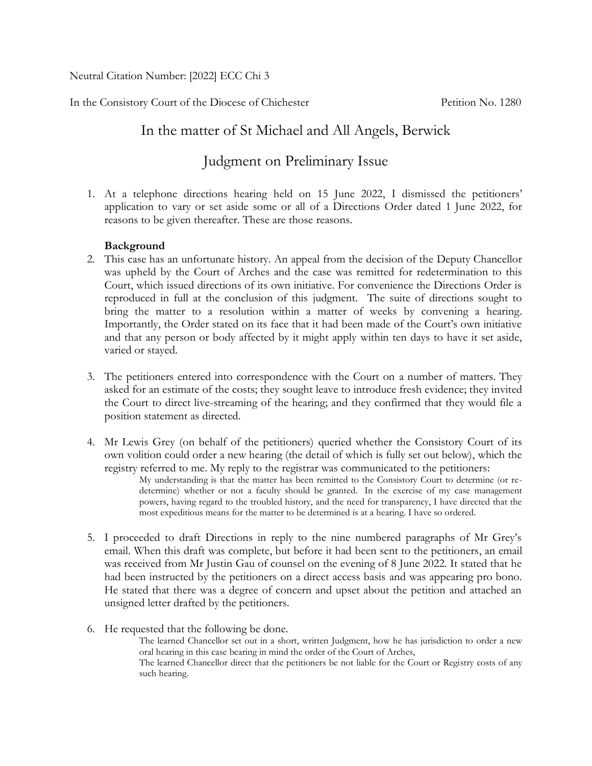Neutral Citation Number: [2022] ECC Chi 3

In the Consistory Court of the Diocese of Chichester Petition No. 1280

## In the matter of St Michael and All Angels, Berwick

# Judgment on Preliminary Issue

1. At a telephone directions hearing held on 15 June 2022, I dismissed the petitioners' application to vary or set aside some or all of a Directions Order dated 1 June 2022, for reasons to be given thereafter. These are those reasons.

## **Background**

- 2. This case has an unfortunate history. An appeal from the decision of the Deputy Chancellor was upheld by the Court of Arches and the case was remitted for redetermination to this Court, which issued directions of its own initiative. For convenience the Directions Order is reproduced in full at the conclusion of this judgment. The suite of directions sought to bring the matter to a resolution within a matter of weeks by convening a hearing. Importantly, the Order stated on its face that it had been made of the Court's own initiative and that any person or body affected by it might apply within ten days to have it set aside, varied or stayed.
- 3. The petitioners entered into correspondence with the Court on a number of matters. They asked for an estimate of the costs; they sought leave to introduce fresh evidence; they invited the Court to direct live-streaming of the hearing; and they confirmed that they would file a position statement as directed.
- 4. Mr Lewis Grey (on behalf of the petitioners) queried whether the Consistory Court of its own volition could order a new hearing (the detail of which is fully set out below), which the registry referred to me. My reply to the registrar was communicated to the petitioners: My understanding is that the matter has been remitted to the Consistory Court to determine (or redetermine) whether or not a faculty should be granted. In the exercise of my case management powers, having regard to the troubled history, and the need for transparency, I have directed that the most expeditious means for the matter to be determined is at a hearing. I have so ordered.
- 5. I proceeded to draft Directions in reply to the nine numbered paragraphs of Mr Grey's email. When this draft was complete, but before it had been sent to the petitioners, an email was received from Mr Justin Gau of counsel on the evening of 8 June 2022. It stated that he had been instructed by the petitioners on a direct access basis and was appearing pro bono. He stated that there was a degree of concern and upset about the petition and attached an unsigned letter drafted by the petitioners.
- 6. He requested that the following be done.

The learned Chancellor set out in a short, written Judgment, how he has jurisdiction to order a new oral hearing in this case bearing in mind the order of the Court of Arches,

The learned Chancellor direct that the petitioners be not liable for the Court or Registry costs of any such hearing.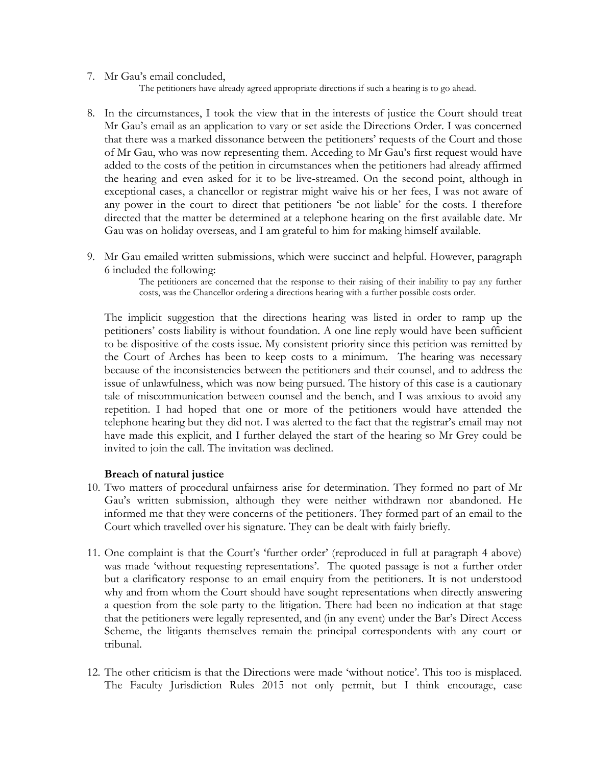7. Mr Gau's email concluded,

The petitioners have already agreed appropriate directions if such a hearing is to go ahead.

- 8. In the circumstances, I took the view that in the interests of justice the Court should treat Mr Gau's email as an application to vary or set aside the Directions Order. I was concerned that there was a marked dissonance between the petitioners' requests of the Court and those of Mr Gau, who was now representing them. Acceding to Mr Gau's first request would have added to the costs of the petition in circumstances when the petitioners had already affirmed the hearing and even asked for it to be live-streamed. On the second point, although in exceptional cases, a chancellor or registrar might waive his or her fees, I was not aware of any power in the court to direct that petitioners 'be not liable' for the costs. I therefore directed that the matter be determined at a telephone hearing on the first available date. Mr Gau was on holiday overseas, and I am grateful to him for making himself available.
- 9. Mr Gau emailed written submissions, which were succinct and helpful. However, paragraph 6 included the following:

The petitioners are concerned that the response to their raising of their inability to pay any further costs, was the Chancellor ordering a directions hearing with a further possible costs order.

The implicit suggestion that the directions hearing was listed in order to ramp up the petitioners' costs liability is without foundation. A one line reply would have been sufficient to be dispositive of the costs issue. My consistent priority since this petition was remitted by the Court of Arches has been to keep costs to a minimum. The hearing was necessary because of the inconsistencies between the petitioners and their counsel, and to address the issue of unlawfulness, which was now being pursued. The history of this case is a cautionary tale of miscommunication between counsel and the bench, and I was anxious to avoid any repetition. I had hoped that one or more of the petitioners would have attended the telephone hearing but they did not. I was alerted to the fact that the registrar's email may not have made this explicit, and I further delayed the start of the hearing so Mr Grey could be invited to join the call. The invitation was declined.

#### **Breach of natural justice**

- 10. Two matters of procedural unfairness arise for determination. They formed no part of Mr Gau's written submission, although they were neither withdrawn nor abandoned. He informed me that they were concerns of the petitioners. They formed part of an email to the Court which travelled over his signature. They can be dealt with fairly briefly.
- 11. One complaint is that the Court's 'further order' (reproduced in full at paragraph 4 above) was made 'without requesting representations'. The quoted passage is not a further order but a clarificatory response to an email enquiry from the petitioners. It is not understood why and from whom the Court should have sought representations when directly answering a question from the sole party to the litigation. There had been no indication at that stage that the petitioners were legally represented, and (in any event) under the Bar's Direct Access Scheme, the litigants themselves remain the principal correspondents with any court or tribunal.
- 12. The other criticism is that the Directions were made 'without notice'. This too is misplaced. The Faculty Jurisdiction Rules 2015 not only permit, but I think encourage, case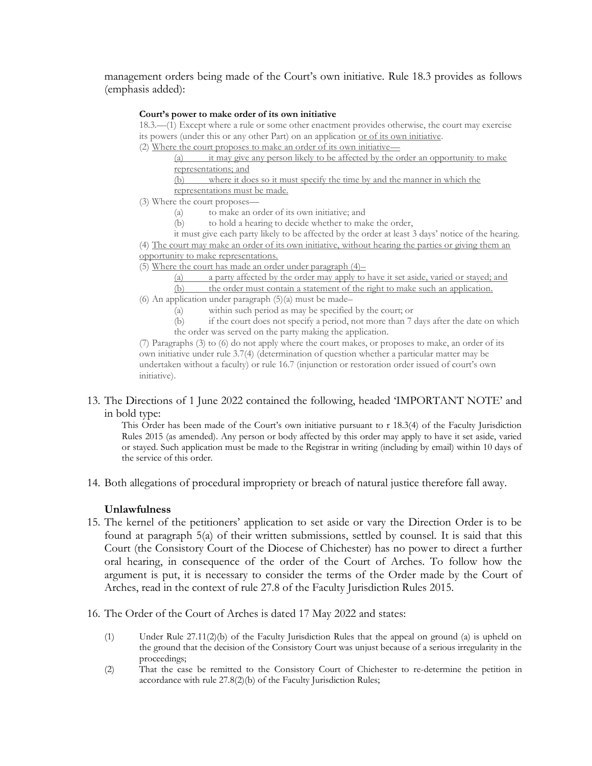management orders being made of the Court's own initiative. Rule 18.3 provides as follows (emphasis added):

#### **Court's power to make order of its own initiative**

18.3.—(1) Except where a rule or some other enactment provides otherwise, the court may exercise its powers (under this or any other Part) on an application or of its own initiative.

(2) Where the court proposes to make an order of its own initiative—

(a) it may give any person likely to be affected by the order an opportunity to make representations; and

(b) where it does so it must specify the time by and the manner in which the representations must be made.

- (3) Where the court proposes—
	- (a) to make an order of its own initiative; and
	- (b) to hold a hearing to decide whether to make the order,
	- it must give each party likely to be affected by the order at least 3 days' notice of the hearing.

(4) The court may make an order of its own initiative, without hearing the parties or giving them an opportunity to make representations.

(5) Where the court has made an order under paragraph (4)–

(a) a party affected by the order may apply to have it set aside, varied or stayed; and (b) the order must contain a statement of the right to make such an application.

- (6) An application under paragraph  $(5)(a)$  must be made–
	- (a) within such period as may be specified by the court; or
	- (b) if the court does not specify a period, not more than 7 days after the date on which the order was served on the party making the application.

(7) Paragraphs (3) to (6) do not apply where the court makes, or proposes to make, an order of its own initiative under rule 3.7(4) (determination of question whether a particular matter may be undertaken without a faculty) or rule 16.7 (injunction or restoration order issued of court's own initiative).

13. The Directions of 1 June 2022 contained the following, headed 'IMPORTANT NOTE' and in bold type:

This Order has been made of the Court's own initiative pursuant to r 18.3(4) of the Faculty Jurisdiction Rules 2015 (as amended). Any person or body affected by this order may apply to have it set aside, varied or stayed. Such application must be made to the Registrar in writing (including by email) within 10 days of the service of this order.

14. Both allegations of procedural impropriety or breach of natural justice therefore fall away.

## **Unlawfulness**

- 15. The kernel of the petitioners' application to set aside or vary the Direction Order is to be found at paragraph 5(a) of their written submissions, settled by counsel. It is said that this Court (the Consistory Court of the Diocese of Chichester) has no power to direct a further oral hearing, in consequence of the order of the Court of Arches. To follow how the argument is put, it is necessary to consider the terms of the Order made by the Court of Arches, read in the context of rule 27.8 of the Faculty Jurisdiction Rules 2015.
- 16. The Order of the Court of Arches is dated 17 May 2022 and states:
	- (1) Under Rule 27.11(2)(b) of the Faculty Jurisdiction Rules that the appeal on ground (a) is upheld on the ground that the decision of the Consistory Court was unjust because of a serious irregularity in the proceedings;
	- (2) That the case be remitted to the Consistory Court of Chichester to re-determine the petition in accordance with rule 27.8(2)(b) of the Faculty Jurisdiction Rules;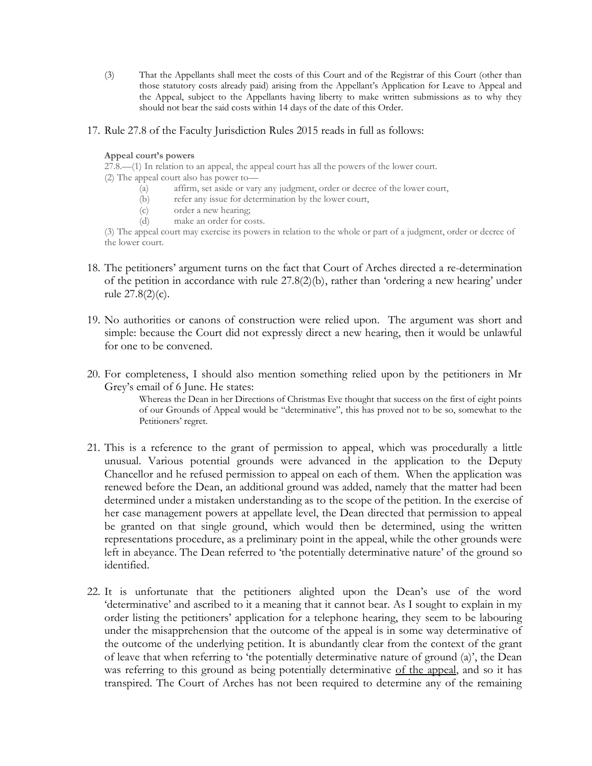(3) That the Appellants shall meet the costs of this Court and of the Registrar of this Court (other than those statutory costs already paid) arising from the Appellant's Application for Leave to Appeal and the Appeal, subject to the Appellants having liberty to make written submissions as to why they should not bear the said costs within 14 days of the date of this Order.

### 17. Rule 27.8 of the Faculty Jurisdiction Rules 2015 reads in full as follows:

#### **Appeal court's powers**

27.8.—(1) In relation to an appeal, the appeal court has all the powers of the lower court.

- (2) The appeal court also has power to—
	- (a) affirm, set aside or vary any judgment, order or decree of the lower court,
	- (b) refer any issue for determination by the lower court,
	- (c) order a new hearing;
	- (d) make an order for costs.

(3) The appeal court may exercise its powers in relation to the whole or part of a judgment, order or decree of the lower court.

- 18. The petitioners' argument turns on the fact that Court of Arches directed a re-determination of the petition in accordance with rule 27.8(2)(b), rather than 'ordering a new hearing' under rule 27.8(2)(c).
- 19. No authorities or canons of construction were relied upon. The argument was short and simple: because the Court did not expressly direct a new hearing, then it would be unlawful for one to be convened.
- 20. For completeness, I should also mention something relied upon by the petitioners in Mr Grey's email of 6 June. He states:

Whereas the Dean in her Directions of Christmas Eve thought that success on the first of eight points of our Grounds of Appeal would be "determinative", this has proved not to be so, somewhat to the Petitioners' regret.

- 21. This is a reference to the grant of permission to appeal, which was procedurally a little unusual. Various potential grounds were advanced in the application to the Deputy Chancellor and he refused permission to appeal on each of them. When the application was renewed before the Dean, an additional ground was added, namely that the matter had been determined under a mistaken understanding as to the scope of the petition. In the exercise of her case management powers at appellate level, the Dean directed that permission to appeal be granted on that single ground, which would then be determined, using the written representations procedure, as a preliminary point in the appeal, while the other grounds were left in abeyance. The Dean referred to 'the potentially determinative nature' of the ground so identified.
- 22. It is unfortunate that the petitioners alighted upon the Dean's use of the word 'determinative' and ascribed to it a meaning that it cannot bear. As I sought to explain in my order listing the petitioners' application for a telephone hearing, they seem to be labouring under the misapprehension that the outcome of the appeal is in some way determinative of the outcome of the underlying petition. It is abundantly clear from the context of the grant of leave that when referring to 'the potentially determinative nature of ground (a)', the Dean was referring to this ground as being potentially determinative of the appeal, and so it has transpired. The Court of Arches has not been required to determine any of the remaining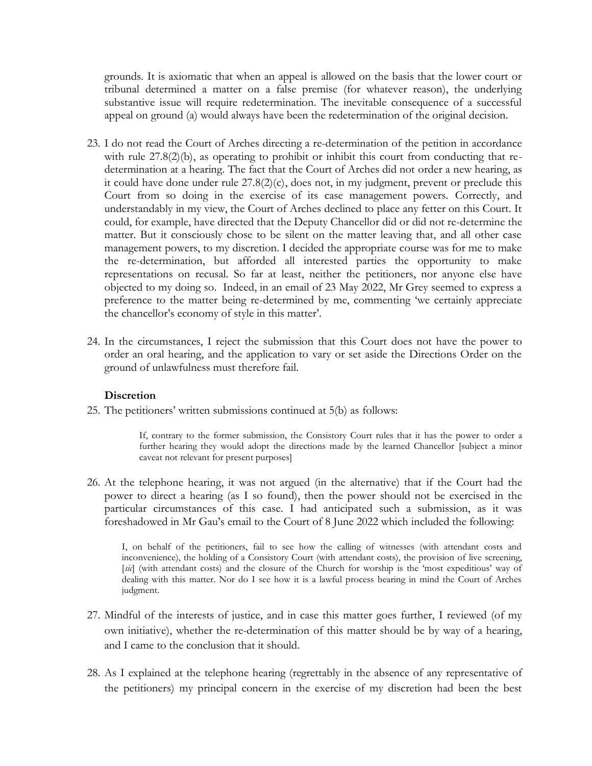grounds. It is axiomatic that when an appeal is allowed on the basis that the lower court or tribunal determined a matter on a false premise (for whatever reason), the underlying substantive issue will require redetermination. The inevitable consequence of a successful appeal on ground (a) would always have been the redetermination of the original decision.

- 23. I do not read the Court of Arches directing a re-determination of the petition in accordance with rule  $27.8(2)(b)$ , as operating to prohibit or inhibit this court from conducting that redetermination at a hearing. The fact that the Court of Arches did not order a new hearing, as it could have done under rule  $27.8(2)(c)$ , does not, in my judgment, prevent or preclude this Court from so doing in the exercise of its case management powers. Correctly, and understandably in my view, the Court of Arches declined to place any fetter on this Court. It could, for example, have directed that the Deputy Chancellor did or did not re-determine the matter. But it consciously chose to be silent on the matter leaving that, and all other case management powers, to my discretion. I decided the appropriate course was for me to make the re-determination, but afforded all interested parties the opportunity to make representations on recusal. So far at least, neither the petitioners, nor anyone else have objected to my doing so. Indeed, in an email of 23 May 2022, Mr Grey seemed to express a preference to the matter being re-determined by me, commenting 'we certainly appreciate the chancellor's economy of style in this matter'.
- 24. In the circumstances, I reject the submission that this Court does not have the power to order an oral hearing, and the application to vary or set aside the Directions Order on the ground of unlawfulness must therefore fail.

#### **Discretion**

25. The petitioners' written submissions continued at 5(b) as follows:

If, contrary to the former submission, the Consistory Court rules that it has the power to order a further hearing they would adopt the directions made by the learned Chancellor [subject a minor caveat not relevant for present purposes]

26. At the telephone hearing, it was not argued (in the alternative) that if the Court had the power to direct a hearing (as I so found), then the power should not be exercised in the particular circumstances of this case. I had anticipated such a submission, as it was foreshadowed in Mr Gau's email to the Court of 8 June 2022 which included the following:

I, on behalf of the petitioners, fail to see how the calling of witnesses (with attendant costs and inconvenience), the holding of a Consistory Court (with attendant costs), the provision of live screening, [sic] (with attendant costs) and the closure of the Church for worship is the 'most expeditious' way of dealing with this matter. Nor do I see how it is a lawful process bearing in mind the Court of Arches judgment.

- 27. Mindful of the interests of justice, and in case this matter goes further, I reviewed (of my own initiative), whether the re-determination of this matter should be by way of a hearing, and I came to the conclusion that it should.
- 28. As I explained at the telephone hearing (regrettably in the absence of any representative of the petitioners) my principal concern in the exercise of my discretion had been the best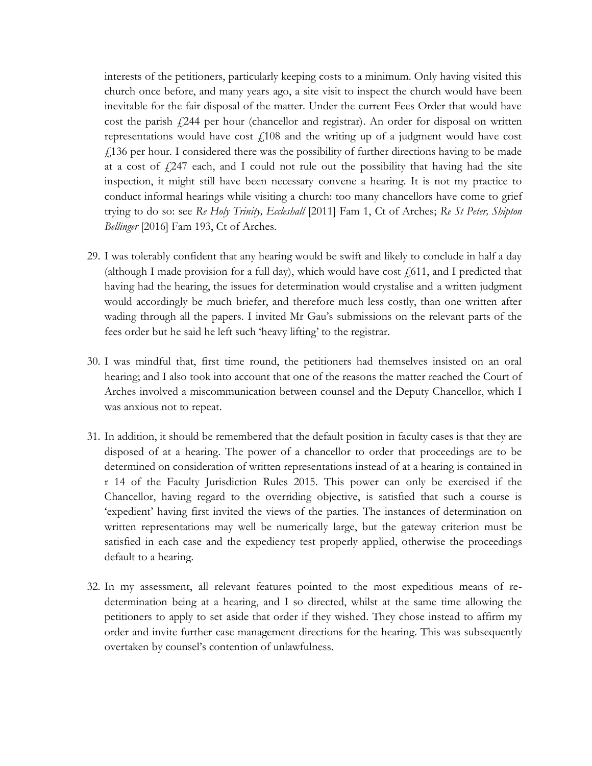interests of the petitioners, particularly keeping costs to a minimum. Only having visited this church once before, and many years ago, a site visit to inspect the church would have been inevitable for the fair disposal of the matter. Under the current Fees Order that would have cost the parish  $\ell$ 244 per hour (chancellor and registrar). An order for disposal on written representations would have cost  $\frac{1}{4}$ 108 and the writing up of a judgment would have cost  $\hat{f}$  136 per hour. I considered there was the possibility of further directions having to be made at a cost of  $\frac{1}{247}$  each, and I could not rule out the possibility that having had the site inspection, it might still have been necessary convene a hearing. It is not my practice to conduct informal hearings while visiting a church: too many chancellors have come to grief trying to do so: see *Re Holy Trinity, Eccleshall* [2011] Fam 1, Ct of Arches; *Re St Peter, Shipton Bellinger* [2016] Fam 193, Ct of Arches.

- 29. I was tolerably confident that any hearing would be swift and likely to conclude in half a day (although I made provision for a full day), which would have cost  $f(611)$ , and I predicted that having had the hearing, the issues for determination would crystalise and a written judgment would accordingly be much briefer, and therefore much less costly, than one written after wading through all the papers. I invited Mr Gau's submissions on the relevant parts of the fees order but he said he left such 'heavy lifting' to the registrar.
- 30. I was mindful that, first time round, the petitioners had themselves insisted on an oral hearing; and I also took into account that one of the reasons the matter reached the Court of Arches involved a miscommunication between counsel and the Deputy Chancellor, which I was anxious not to repeat.
- 31. In addition, it should be remembered that the default position in faculty cases is that they are disposed of at a hearing. The power of a chancellor to order that proceedings are to be determined on consideration of written representations instead of at a hearing is contained in r 14 of the Faculty Jurisdiction Rules 2015. This power can only be exercised if the Chancellor, having regard to the overriding objective, is satisfied that such a course is 'expedient' having first invited the views of the parties. The instances of determination on written representations may well be numerically large, but the gateway criterion must be satisfied in each case and the expediency test properly applied, otherwise the proceedings default to a hearing.
- 32. In my assessment, all relevant features pointed to the most expeditious means of redetermination being at a hearing, and I so directed, whilst at the same time allowing the petitioners to apply to set aside that order if they wished. They chose instead to affirm my order and invite further case management directions for the hearing. This was subsequently overtaken by counsel's contention of unlawfulness.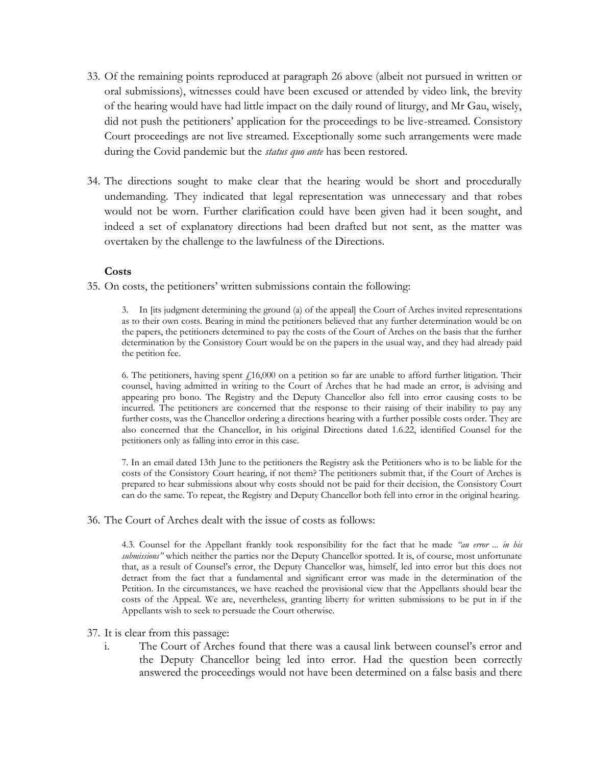- 33. Of the remaining points reproduced at paragraph 26 above (albeit not pursued in written or oral submissions), witnesses could have been excused or attended by video link, the brevity of the hearing would have had little impact on the daily round of liturgy, and Mr Gau, wisely, did not push the petitioners' application for the proceedings to be live-streamed. Consistory Court proceedings are not live streamed. Exceptionally some such arrangements were made during the Covid pandemic but the *status quo ante* has been restored.
- 34. The directions sought to make clear that the hearing would be short and procedurally undemanding. They indicated that legal representation was unnecessary and that robes would not be worn. Further clarification could have been given had it been sought, and indeed a set of explanatory directions had been drafted but not sent, as the matter was overtaken by the challenge to the lawfulness of the Directions.

### **Costs**

35. On costs, the petitioners' written submissions contain the following:

3. In [its judgment determining the ground (a) of the appeal] the Court of Arches invited representations as to their own costs. Bearing in mind the petitioners believed that any further determination would be on the papers, the petitioners determined to pay the costs of the Court of Arches on the basis that the further determination by the Consistory Court would be on the papers in the usual way, and they had already paid the petition fee.

6. The petitioners, having spent £16,000 on a petition so far are unable to afford further litigation. Their counsel, having admitted in writing to the Court of Arches that he had made an error, is advising and appearing pro bono. The Registry and the Deputy Chancellor also fell into error causing costs to be incurred. The petitioners are concerned that the response to their raising of their inability to pay any further costs, was the Chancellor ordering a directions hearing with a further possible costs order. They are also concerned that the Chancellor, in his original Directions dated 1.6.22, identified Counsel for the petitioners only as falling into error in this case.

7. In an email dated 13th June to the petitioners the Registry ask the Petitioners who is to be liable for the costs of the Consistory Court hearing, if not them? The petitioners submit that, if the Court of Arches is prepared to hear submissions about why costs should not be paid for their decision, the Consistory Court can do the same. To repeat, the Registry and Deputy Chancellor both fell into error in the original hearing.

36. The Court of Arches dealt with the issue of costs as follows:

4.3. Counsel for the Appellant frankly took responsibility for the fact that he made *"an error ... in his submissions"* which neither the parties nor the Deputy Chancellor spotted. It is, of course, most unfortunate that, as a result of Counsel's error, the Deputy Chancellor was, himself, led into error but this does not detract from the fact that a fundamental and significant error was made in the determination of the Petition. In the circumstances, we have reached the provisional view that the Appellants should bear the costs of the Appeal. We are, nevertheless, granting liberty for written submissions to be put in if the Appellants wish to seek to persuade the Court otherwise.

- 37. It is clear from this passage:
	- i. The Court of Arches found that there was a causal link between counsel's error and the Deputy Chancellor being led into error. Had the question been correctly answered the proceedings would not have been determined on a false basis and there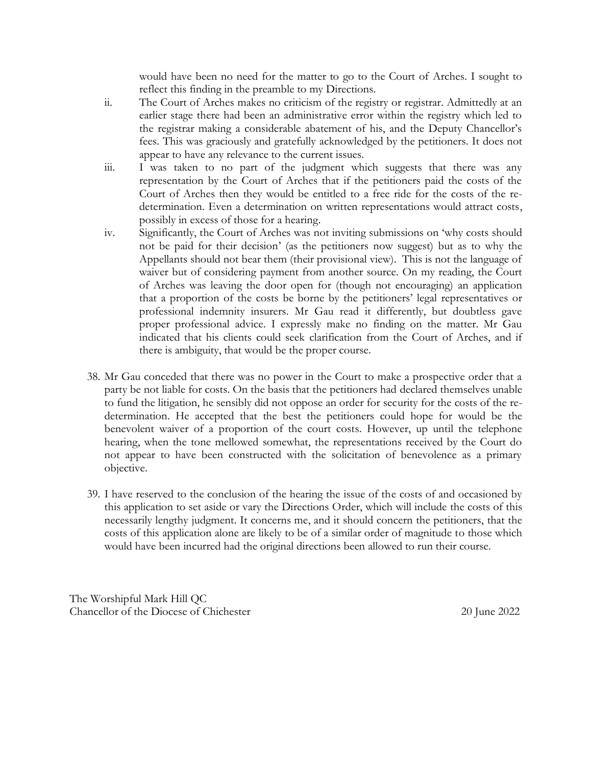would have been no need for the matter to go to the Court of Arches. I sought to reflect this finding in the preamble to my Directions.

- ii. The Court of Arches makes no criticism of the registry or registrar. Admittedly at an earlier stage there had been an administrative error within the registry which led to the registrar making a considerable abatement of his, and the Deputy Chancellor's fees. This was graciously and gratefully acknowledged by the petitioners. It does not appear to have any relevance to the current issues.
- iii. I was taken to no part of the judgment which suggests that there was any representation by the Court of Arches that if the petitioners paid the costs of the Court of Arches then they would be entitled to a free ride for the costs of the redetermination. Even a determination on written representations would attract costs, possibly in excess of those for a hearing.
- iv. Significantly, the Court of Arches was not inviting submissions on 'why costs should not be paid for their decision' (as the petitioners now suggest) but as to why the Appellants should not bear them (their provisional view). This is not the language of waiver but of considering payment from another source. On my reading, the Court of Arches was leaving the door open for (though not encouraging) an application that a proportion of the costs be borne by the petitioners' legal representatives or professional indemnity insurers. Mr Gau read it differently, but doubtless gave proper professional advice. I expressly make no finding on the matter. Mr Gau indicated that his clients could seek clarification from the Court of Arches, and if there is ambiguity, that would be the proper course.
- 38. Mr Gau conceded that there was no power in the Court to make a prospective order that a party be not liable for costs. On the basis that the petitioners had declared themselves unable to fund the litigation, he sensibly did not oppose an order for security for the costs of the redetermination. He accepted that the best the petitioners could hope for would be the benevolent waiver of a proportion of the court costs. However, up until the telephone hearing, when the tone mellowed somewhat, the representations received by the Court do not appear to have been constructed with the solicitation of benevolence as a primary objective.
- 39. I have reserved to the conclusion of the hearing the issue of the costs of and occasioned by this application to set aside or vary the Directions Order, which will include the costs of this necessarily lengthy judgment. It concerns me, and it should concern the petitioners, that the costs of this application alone are likely to be of a similar order of magnitude to those which would have been incurred had the original directions been allowed to run their course.

The Worshipful Mark Hill QC Chancellor of the Diocese of Chichester 20 June 2022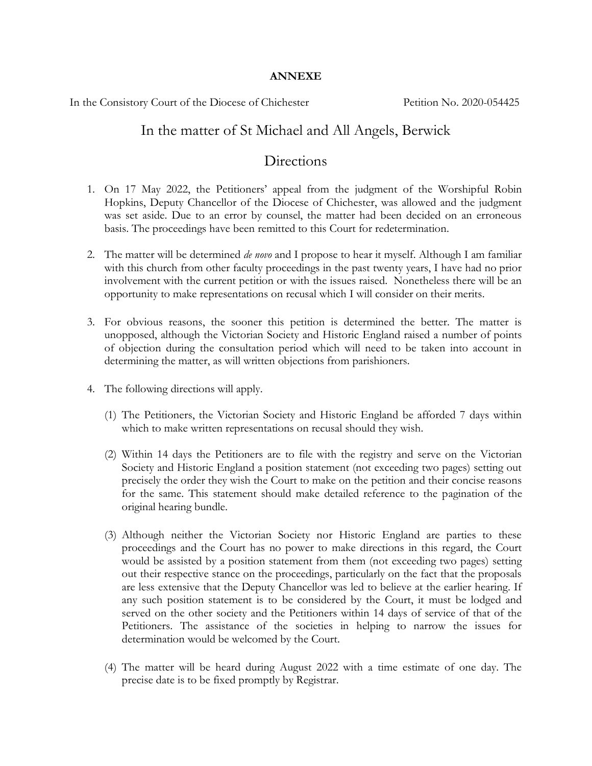#### **ANNEXE**

In the Consistory Court of the Diocese of Chichester Petition No. 2020-054425

## In the matter of St Michael and All Angels, Berwick

## Directions

- 1. On 17 May 2022, the Petitioners' appeal from the judgment of the Worshipful Robin Hopkins, Deputy Chancellor of the Diocese of Chichester, was allowed and the judgment was set aside. Due to an error by counsel, the matter had been decided on an erroneous basis. The proceedings have been remitted to this Court for redetermination.
- 2. The matter will be determined *de novo* and I propose to hear it myself. Although I am familiar with this church from other faculty proceedings in the past twenty years, I have had no prior involvement with the current petition or with the issues raised. Nonetheless there will be an opportunity to make representations on recusal which I will consider on their merits.
- 3. For obvious reasons, the sooner this petition is determined the better. The matter is unopposed, although the Victorian Society and Historic England raised a number of points of objection during the consultation period which will need to be taken into account in determining the matter, as will written objections from parishioners.
- 4. The following directions will apply.
	- (1) The Petitioners, the Victorian Society and Historic England be afforded 7 days within which to make written representations on recusal should they wish.
	- (2) Within 14 days the Petitioners are to file with the registry and serve on the Victorian Society and Historic England a position statement (not exceeding two pages) setting out precisely the order they wish the Court to make on the petition and their concise reasons for the same. This statement should make detailed reference to the pagination of the original hearing bundle.
	- (3) Although neither the Victorian Society nor Historic England are parties to these proceedings and the Court has no power to make directions in this regard, the Court would be assisted by a position statement from them (not exceeding two pages) setting out their respective stance on the proceedings, particularly on the fact that the proposals are less extensive that the Deputy Chancellor was led to believe at the earlier hearing. If any such position statement is to be considered by the Court, it must be lodged and served on the other society and the Petitioners within 14 days of service of that of the Petitioners. The assistance of the societies in helping to narrow the issues for determination would be welcomed by the Court.
	- (4) The matter will be heard during August 2022 with a time estimate of one day. The precise date is to be fixed promptly by Registrar.